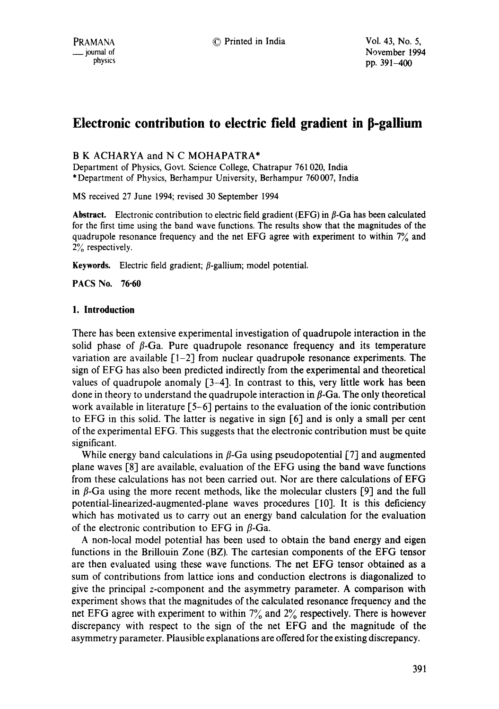# **Electronic contribution to electric field gradient in p-gallium**

# B K ACHARYA and N C MOHAPATRA\*

Department of Physics, Govt. Science College, Chatrapur 761020, India \*Department of Physics, Berhampur University, Berhampur 760007, India

MS received 27 June 1994; revised 30 September 1994

**Abstract.** Electronic contribution to electric field gradient (EFG) in  $\beta$ -Ga has been calculated for the first time using the band wave functions. The results show that the magnitudes of the quadrupole resonance frequency and the net EFG agree with experiment to within 7% and 2% respectively.

Keywords. Electric field gradient;  $\beta$ -gallium; model potential.

PACS No. 76-60

## **1. Introduction**

There has been extensive experimental investigation of quadrupole interaction in the solid phase of  $\beta$ -Ga. Pure quadrupole resonance frequency and its temperature variation are available  $\lceil 1-2 \rceil$  from nuclear quadrupole resonance experiments. The sign of EFG has also been predicted indirectly from the experimental and theoretical values of quadrupole anomaly  $[3-4]$ . In contrast to this, very little work has been done in theory to understand the quadrupole interaction in  $\beta$ -Ga. The only theoretical work available in literature [5-6] pertains to the evaluation of the ionic contribution to EFG in this solid. The latter is negative in sign [6] and is only a small per cent of the experimental EFG. This suggests that the electronic contribution must be quite significant.

While energy band calculations in  $\beta$ -Ga using pseudopotential [7] and augmented plane waves [8] are available, evaluation of the EFG using the band wave functions from these calculations has not been carried out. Nor are there calculations of EFG in  $\beta$ -Ga using the more recent methods, like the molecular clusters [9] and the full potential-linearized-augmented-plane waves procedures [10]. It is this deficiency which has motivated us to carry out an energy band calculation for the evaluation of the electronic contribution to EFG in  $\beta$ -Ga.

A non-local model potential has been used to obtain the band energy and eigen functions in the Brillouin Zone (BZ). The cartesian components of the EFG tensor are then evaluated using these wave functions. The net EFG tensor obtained as a sum of contributions from lattice ions and conduction electrons is diagonalized to give the principal z-component and the asymmetry parameter. A comparison with experiment shows that the magnitudes of the calculated resonance frequency and the net EFG agree with experiment to within  $7\%$  and  $2\%$  respectively. There is however discrepancy with respect to the sign of the net EFG and the magnitude of the asymmetry parameter. Plausible explanations are offered for the existing discrepancy.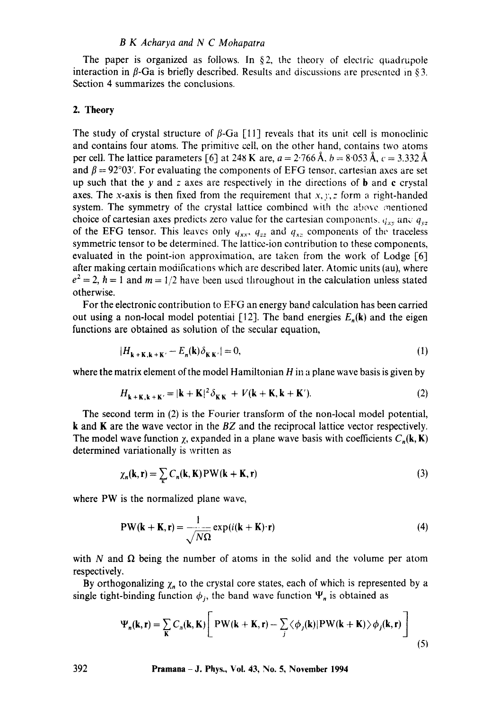The paper is organized as follows. In §2, the theory of electric quadrupole interaction in  $\beta$ -Ga is briefly described. Results and discussions are presented in §3. Section 4 summarizes the conclusions.

# **2. Theory**

The study of crystal structure of  $\beta$ -Ga [11] reveals that its unit cell is monoclinic and contains four atoms. The primitive cell, on the other hand, contains two atoms per cell. The lattice parameters [6] at 248 K are,  $a = 2.766 \text{ Å}$ ,  $b = 8.053 \text{ Å}$ ,  $c = 3.332 \text{ Å}$ and  $\beta = 92^{\circ}03'$ . For evaluating the components of EFG tensor, cartesian axes are set up such that the y and z axes are respectively in the directions of **b** and **c** crystal axes. The x-axis is then fixed from the requirement that  $x, y, z$  form a right-handed system. The symmetry of the crystal lattice combined with the above mentioned choice of cartesian axes predicts zero value for the cartesian components,  $q_{xx}$  and  $q_{yz}$ of the EFG tensor. This leaves only  $q_{xx}$ ,  $q_{zz}$  and  $q_{xz}$  components of the traceless symmetric tensor to be determined. The lattice-ion contribution to these components, evaluated in the point-ion approximation, are taken from the work of Lodge [6] after making certain modifications which are described later. Atomic units (au), where  $e^2 = 2$ ,  $\hbar = 1$  and  $m = 1/2$  have been used throughout in the calculation unless stated otherwise.

For the electronic contribution to EFG an energy band calculation has been carried out using a non-local model potential [12]. The band energies  $E_n(\mathbf{k})$  and the eigen functions are obtained as solution of the secular equation,

$$
|H_{\mathbf{k} + \mathbf{K}, \mathbf{k} + \mathbf{K}'} - E_n(\mathbf{k}) \delta_{\mathbf{K}\mathbf{K}'}| = 0,\tag{1}
$$

where the matrix element of the model Hamiltonian  $H$  in a plane wave basis is given by

$$
H_{\mathbf{k}+\mathbf{K},\mathbf{k}+\mathbf{K}'} = |\mathbf{k}+\mathbf{K}|^2 \delta_{\mathbf{K}\mathbf{K}} + V(\mathbf{k}+\mathbf{K},\mathbf{k}+\mathbf{K}'). \tag{2}
$$

The second term in (2) is the Fourier transform of the non-local model potential, k and K are the wave vector in the *BZ* and the reciprocal lattice vector respectively. The model wave function  $\chi$ , expanded in a plane wave basis with coefficients  $C_n(k, K)$ determined variationally is written as

$$
\chi_n(\mathbf{k}, \mathbf{r}) = \sum_{\mathbf{k}} C_n(\mathbf{k}, \mathbf{K}) \mathbf{PW}(\mathbf{k} + \mathbf{K}, \mathbf{r})
$$
 (3)

where PW is the normalized plane wave,

$$
PW(\mathbf{k} + \mathbf{K}, \mathbf{r}) = \frac{1}{\sqrt{N\Omega}} \exp(i(\mathbf{k} + \mathbf{K}) \cdot \mathbf{r})
$$
 (4)

with N and  $\Omega$  being the number of atoms in the solid and the volume per atom respectively.

By orthogonalizing  $\chi_n$  to the crystal core states, each of which is represented by a single tight-binding function  $\phi_j$ , the band wave function  $\Psi_n$  is obtained as

$$
\Psi_n(\mathbf{k}, \mathbf{r}) = \sum_{\mathbf{K}} C_n(\mathbf{k}, \mathbf{K}) \left[ P \mathbf{W}(\mathbf{k} + \mathbf{K}, \mathbf{r}) - \sum_j \langle \phi_j(\mathbf{k}) | P \mathbf{W}(\mathbf{k} + \mathbf{K}) \rangle \phi_j(\mathbf{k}, \mathbf{r}) \right]
$$
(5)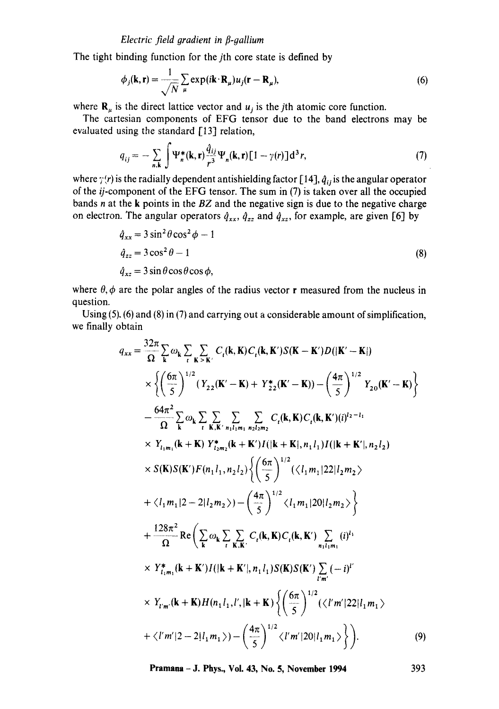The tight binding function for the *j*th core state is defined by

$$
\phi_j(\mathbf{k}, \mathbf{r}) = \frac{1}{\sqrt{N}} \sum_{\mu} \exp(i\mathbf{k} \cdot \mathbf{R}_{\mu}) u_j(\mathbf{r} - \mathbf{R}_{\mu}),
$$
\n(6)

where  $\mathbf{R}_{\mu}$  is the direct lattice vector and  $u_j$  is the jth atomic core function.

The cartesian components of EFG tensor due to the band electrons may be evaluated using the standard [13] relation,

$$
q_{ij} = -\sum_{n,k} \int \Psi_n^*(\mathbf{k}, \mathbf{r}) \frac{\hat{q}_{ij}}{r^3} \Psi_n(\mathbf{k}, \mathbf{r}) \left[1 - \gamma(r)\right] d^3 r,\tag{7}
$$

where  $\gamma(r)$  is the radially dependent antishielding factor [14],  $\hat{q}_{ij}$  is the angular operator of the *ij-component* of the EFG tensor. The sum in (7) is taken over all the occupied bands n at the k points in the *BZ* and the negative sign is due to the negative charge on electron. The angular operators  $\hat{q}_{xx}$ ,  $\hat{q}_{zz}$  and  $\hat{q}_{xz}$ , for example, are given [6] by

$$
\hat{q}_{xx} = 3\sin^2\theta\cos^2\phi - 1
$$
  
\n
$$
\hat{q}_{zz} = 3\cos^2\theta - 1
$$
  
\n
$$
\hat{q}_{xz} = 3\sin\theta\cos\theta\cos\phi,
$$
\n(8)

where  $\theta$ ,  $\phi$  are the polar angles of the radius vector **r** measured from the nucleus in question.

Using (5). (6) and (8) in (7) and carrying out a considerable amount of simplification, we finally obtain

$$
q_{xx} = \frac{32\pi}{\Omega} \sum_{\mathbf{k}} \omega_{\mathbf{k}} \sum_{\ell} \sum_{\mathbf{K} > \mathbf{K}'} C_{\ell}(\mathbf{k}, \mathbf{K}) C_{\ell}(\mathbf{k}, \mathbf{K}') S(\mathbf{K} - \mathbf{K}') D(|\mathbf{K}' - \mathbf{K}|)
$$
  
\n
$$
\times \left\{ \left( \frac{6\pi}{5} \right)^{1/2} (Y_{22}(\mathbf{K}' - \mathbf{K}) + Y_{22}^{*}(\mathbf{K}' - \mathbf{K})) - \left( \frac{4\pi}{5} \right)^{1/2} Y_{20}(\mathbf{K}' - \mathbf{K}) \right\}
$$
  
\n
$$
- \frac{64\pi^{2}}{\Omega} \sum_{\mathbf{k}} \omega_{\mathbf{k}} \sum_{\ell} \sum_{\mathbf{K}, \mathbf{K}': n_{11}n_{1}n_{22}n_{2}} C_{\ell}(\mathbf{k}, \mathbf{K}) C_{\ell}(\mathbf{k}, \mathbf{K}')(i)^{1/2-1_{1}}
$$
  
\n
$$
\times Y_{l_{1}m_{1}}(\mathbf{k} + \mathbf{K}) Y_{l_{2}m_{2}}^{*}(\mathbf{k} + \mathbf{K}') I(|\mathbf{k} + \mathbf{K}|, n_{1}l_{1}) I(|\mathbf{k} + \mathbf{K}'|, n_{2}l_{2})
$$
  
\n
$$
\times S(\mathbf{K}) S(\mathbf{K}') F(n_{1}l_{1}, n_{2}l_{2}) \left\{ \left( \frac{6\pi}{5} \right)^{1/2} (\langle l_{1}m_{1}|22|l_{2}m_{2} \rangle \right\}
$$
  
\n
$$
+ \frac{128\pi^{2}}{\Omega} \text{Re} \left( \sum_{\mathbf{k}} \omega_{\mathbf{k}} \sum_{\ell} \sum_{\mathbf{K}, \mathbf{K}'} C_{\ell}(\mathbf{k}, \mathbf{K}') \sum_{\ell} (l)^{l_{1}}
$$
  
\n
$$
\times Y_{l_{1}m_{1}}^{*}(\mathbf{k} + \mathbf{K}') I(|\mathbf{k} + \mathbf{K}'|, n_{1}l_{1}) S(\mathbf{K}) S(\mathbf{K}') \sum_{l' m'} (-i)^{l'}
$$
  
\n

**Pramana - J. Phys., Vol. 43, No. 5, November 1994** 393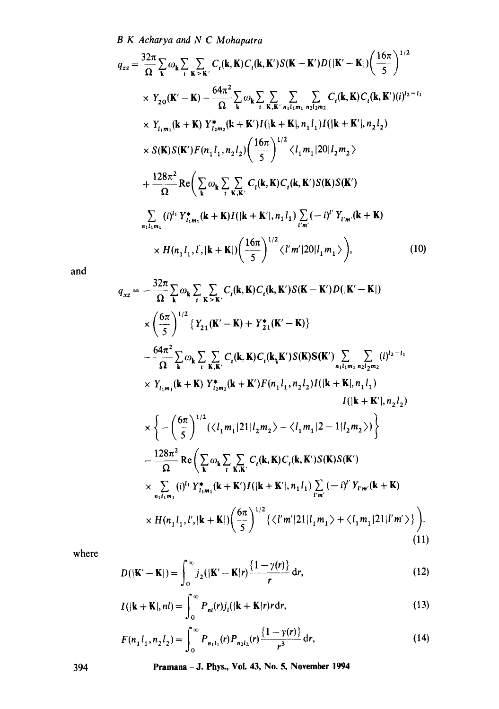$$
q_{zz} = \frac{32\pi}{\Omega} \sum_{\mathbf{k}} \omega_{\mathbf{k}} \sum_{\iota} \sum_{\mathbf{K} > \mathbf{K}'} C_{\iota}(\mathbf{k}, \mathbf{K}) C_{\iota}(\mathbf{k}, \mathbf{K}') S(\mathbf{K} - \mathbf{K}') D(|\mathbf{K}' - \mathbf{K}|) \left(\frac{16\pi}{5}\right)^{1/2}
$$
  
\n
$$
\times Y_{20}(\mathbf{K}' - \mathbf{K}) - \frac{64\pi^2}{\Omega} \sum_{\mathbf{k}} \omega_{\mathbf{k}} \sum_{\iota} \sum_{\mathbf{K}, \mathbf{K}' \ n_1 l_1 m_1 n_2 l_2 m_2} \sum_{\iota} C_{\iota}(\mathbf{k}, \mathbf{K}) C_{\iota}(\mathbf{k}, \mathbf{K}') (i)^{l_2 - l_1}
$$
  
\n
$$
\times Y_{l_1 m_1}(\mathbf{k} + \mathbf{K}) Y_{l_2 m_2}^*(\mathbf{k} + \mathbf{K}') I(|\mathbf{k} + \mathbf{K}|, n_1 l_1) I(|\mathbf{k} + \mathbf{K}'|, n_2 l_2)
$$
  
\n
$$
\times S(\mathbf{K}) S(\mathbf{K}') F(n_1 l_1, n_2 l_2) \left(\frac{16\pi}{5}\right)^{1/2} \langle l_1 m_1 | 20 | l_2 m_2 \rangle
$$
  
\n
$$
+ \frac{128\pi^2}{\Omega} \text{Re} \left(\sum_{\mathbf{k}} \omega_{\mathbf{k}} \sum_{\iota} \sum_{\mathbf{K}, \mathbf{K}'} C_{\iota}(\mathbf{k}, \mathbf{K}) C_{\iota}(\mathbf{k}, \mathbf{K}') S(\mathbf{K}) S(\mathbf{K}')
$$
  
\n
$$
\sum_{n_1 l_1 m_1} (i)^{l_1} Y_{l_1 m_1}^*(\mathbf{k} + \mathbf{K}) I(|\mathbf{k} + \mathbf{K}'|, n_1 l_1) \sum_{\iota' m'} (-i)^{\iota'} Y_{\iota' m'}(\mathbf{k} + \mathbf{K})
$$
  
\n
$$
\times H(n_1 l_1, l', |\mathbf{k} + \mathbf{K}|) \left(\frac{16\pi}{5}\
$$

and

$$
q_{xz} = -\frac{32\pi}{\Omega} \sum_{\mathbf{k}} \omega_{\mathbf{k}} \sum_{\mathbf{r}} \sum_{\mathbf{K} \leq \mathbf{K}'} C_{\mathbf{r}}(\mathbf{k}, \mathbf{K}) C_{\mathbf{t}}(\mathbf{k}, \mathbf{K}') S(\mathbf{K} - \mathbf{K}') D(|\mathbf{K}' - \mathbf{K}|)
$$
  
\n
$$
\times \left(\frac{6\pi}{5}\right)^{1/2} \{Y_{21}(\mathbf{K}' - \mathbf{K}) + Y_{21}^*(\mathbf{K}' - \mathbf{K})\}
$$
  
\n
$$
-\frac{64\pi^2}{\Omega} \sum_{\mathbf{k}} \omega_{\mathbf{k}} \sum_{\mathbf{r}} \sum_{\mathbf{K}, \mathbf{K}'} C_{\mathbf{t}}(\mathbf{k}, \mathbf{K}) C_{\mathbf{t}}(\mathbf{k}, \mathbf{K}') S(\mathbf{K}) S(\mathbf{K}') \sum_{n_1 + n_1 + n_2 + 2n_2} \sum_{n_1 + n_2 + n_3} (i)^{l_2 - l_1}
$$
  
\n
$$
\times Y_{l_1, m_1}(\mathbf{k} + \mathbf{K}) Y_{l_2, m_2}^*(\mathbf{k} + \mathbf{K}') F(n_1 l_1, n_2 l_2) I(|\mathbf{k} + \mathbf{K}|, n_1 l_1)
$$
  
\n
$$
I(|\mathbf{k} + \mathbf{K}'|, n_2 l_2)
$$
  
\n
$$
\times \left\{-\left(\frac{6\pi}{5}\right)^{1/2} (\langle l_1 m_1 | 21 | l_2 m_2 \rangle - \langle l_1 m_1 | 2 - 1 | l_2 m_2 \rangle)\right\}
$$
  
\n
$$
-\frac{128\pi^2}{\Omega} \text{Re}\left(\sum_{\mathbf{k}} \omega_{\mathbf{k}} \sum_{\mathbf{r}} \sum_{\mathbf{K}, \mathbf{K}'} C_{\mathbf{r}}(\mathbf{k}, \mathbf{K}) S(\mathbf{K}) S(\mathbf{K}')
$$
  
\n
$$
\times \sum_{n_1 l_1 m_1} (i)^{l_1} Y_{l_1, m_1}^*(\mathbf{k} + \mathbf{K}') I(|\mathbf{k} + \mathbf{K}'|, n
$$

where

$$
D(|\mathbf{K}' - \mathbf{K}|) = \int_0^\infty j_2(|\mathbf{K}' - \mathbf{K}|r) \frac{\{1 - \gamma(r)\}}{r} dr,
$$
\n(12)

$$
I(|\mathbf{k} + \mathbf{K}|, nl) = \int_0^\infty P_{nl}(r) j_l(|\mathbf{k} + \mathbf{K}|r) r \, dr,\tag{13}
$$

$$
F(n_1 l_1, n_2 l_2) = \int_0^\infty P_{n_1 l_1}(r) P_{n_2 l_2}(r) \frac{\{1 - \gamma(r)\}}{r^3} dr,
$$
\n(14)

**394 Pramana - J. Phys., Vol. 43, No. 5, November 1994**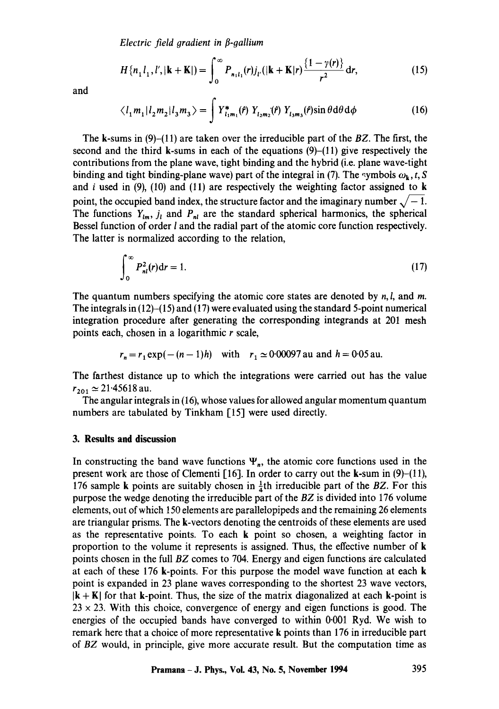*Electric field gradient in β-gallium* 

$$
H\{n_1 l_1, l', |\mathbf{k} + \mathbf{K}|\} = \int_0^\infty P_{n_1 l_1}(r) j_{l'}(|\mathbf{k} + \mathbf{K}|r) \frac{\{1 - \gamma(r)\}}{r^2} dr,
$$
\n(15)

and

$$
\langle l_1 m_1 | l_2 m_2 | l_3 m_3 \rangle = \int Y_{l_1 m_1}^*(f) Y_{l_2 m_2}(f) Y_{l_3 m_3}(f) \sin \theta \, d\theta \, d\phi \tag{16}
$$

The k-sums in (9)-(11) are taken over the irreducible part of the *BZ.* The first, the second and the third k-sums in each of the equations  $(9)$ - $(11)$  give respectively the contributions from the plane wave, tight binding and the hybrid (i.e. plane wave-tight binding and tight binding-plane wave) part of the integral in (7). The symbols  $\omega_k$ , t, S and i used in  $(9)$ ,  $(10)$  and  $(11)$  are respectively the weighting factor assigned to k point, the occupied band index, the structure factor and the imaginary number  $\sqrt{-1}$ . The functions  $Y_{lm}$ ,  $j_l$  and  $P_{nl}$  are the standard spherical harmonics, the spherical Bessel function of order *l* and the radial part of the atomic core function respectively. The latter is normalized according to the relation,

$$
\int_0^\infty P_{nl}^2(r) \mathrm{d}r = 1. \tag{17}
$$

The quantum numbers specifying the atomic core states are denoted by  $n, l$ , and  $m$ . The integrals in  $(12)$ - $(15)$  and  $(17)$  were evaluated using the standard 5-point numerical integration procedure after generating the corresponding integrands at 201 mesh points each, chosen in a logarithmic r scale,

$$
r_n = r_1 \exp(-(n-1)h)
$$
 with  $r_1 \approx 0.00097$  au and  $h = 0.05$  au.

The farthest distance up to which the integrations were carried out has the value  $r_{201} \simeq 21.45618$  au.

The angular integrals in (16), whose values for allowed angular momentum quantum numbers are tabulated by Tinkham [15] were used directly.

#### **3. Results and discussion**

In constructing the band wave functions  $\Psi_n$ , the atomic core functions used in the present work are those of Clementi [16]. In order to carry out the k-sum in  $(9)-(11)$ , 176 sample k points are suitably chosen in  $\frac{1}{4}$ th irreducible part of the *BZ*. For this purpose the wedge denoting the irreducible part of the *BZ* is divided into 176 volume elements, out of which 150 elements are parallelopipeds and the remaining 26 elements are triangular prisms. The k-vectors denoting the centroids of these elements are used as the representative points. To each k point so chosen, a weighting factor in proportion to the volume it represents is assigned. Thus, the effective number of k points chosen in the full *BZ* comes to 704. Energy and eigen functions are calculated at each of these 176 k-points. For this purpose the model wave function at each k point is expanded in 23 plane waves corresponding to the shortest 23 wave vectors,  $|k + K|$  for that k-point. Thus, the size of the matrix diagonalized at each k-point is  $23 \times 23$ . With this choice, convergence of energy and eigen functions is good. The energies of the occupied bands have converged to within 0.001 Ryd. We wish to remark here that a choice of more representative k points than 176 in irreducible part of *BZ* would, in principle, give more accurate result. But the computation time as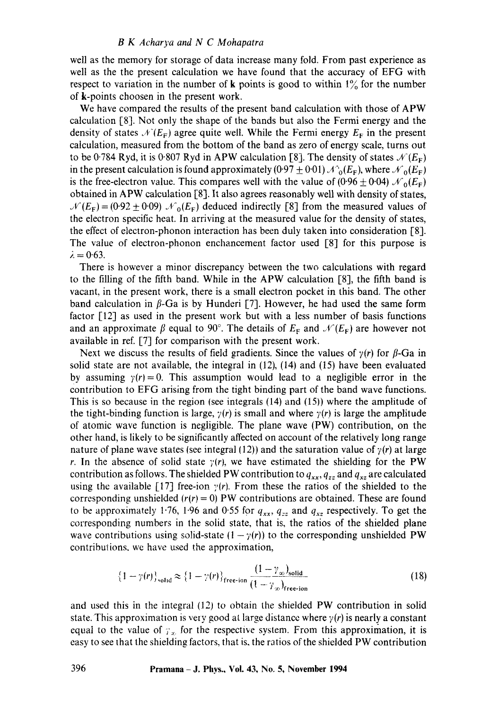well as the memory for storage of data increase many fold. From past experience as well as the the present calculation we have found that the accuracy of EFG with respect to variation in the number of **k** points is good to within  $1\%$  for the number of k-points choosen in the present work.

We have compared the results of the present band calculation with those of APW calculation [8]. Not only the shape of the bands but also the Fermi energy and the density of states  $\mathcal{N}(E_F)$  agree quite well. While the Fermi energy  $E_F$  in the present calculation, measured from the bottom of the band as zero of energy scale, turns out to be 0.784 Ryd, it is 0.807 Ryd in APW calculation [8]. The density of states  $\mathcal{N}(E_F)$ in the present calculation is found approximately (0.97  $\pm$  0.01)  $\mathcal{A}_{0}^{0}(E_{F})$ , where  $\mathcal{N}_{0}(E_{F})$ is the free-electron value. This compares well with the value of  $(0.96 \pm 0.04)$   $\mathcal{N}_0(E_F)$ obtained in APW calculation [8]. It also agrees reasonably well with density of states,  $\mathcal{N}(E_F) = (0.92 \pm 0.09) \mathcal{N}_0(E_F)$  deduced indirectly [8] from the measured values of the electron specific heat. In arriving at the measured value for the density of states, the effect of electron-phonon interaction has been duly taken into consideration [8]. The value of electron-phonon enchancement factor used [8] for this purpose is  $\lambda = 0.63$ .

There is however a minor discrepancy between the two calculations with regard to the filling of the fifth band. While in the APW calculation [8], the fifth band is vacant, in the present work, there is a small electron pocket in this band. The other band calculation in  $\beta$ -Ga is by Hunderi [7]. However, he had used the same form factor [12] as used in the present work but with a less number of basis functions and an approximate  $\beta$  equal to 90°. The details of  $E_F$  and  $\mathcal{N}(E_F)$  are however not available in ref. [7] for comparison with the present work.

Next we discuss the results of field gradients. Since the values of  $\gamma(r)$  for  $\beta$ -Ga in solid state are not available, the integral in (12), (14) and (15) have been evaluated by assuming  $y(r)=0$ . This assumption would lead to a negligible error in the contribution to EFG arising from the tight binding part of the band wave functions. This is so because in the region (see integrals  $(14)$  and  $(15)$ ) where the amplitude of the tight-binding function is large,  $\gamma(r)$  is small and where  $\gamma(r)$  is large the amplitude of atomic wave function is negligible. The plane wave (PW) contribution, on the other hand, is likely to be significantly affected on account of the relatively long range nature of plane wave states (see integral (12)) and the saturation value of  $\gamma(r)$  at large r. In the absence of solid state  $\gamma(r)$ , we have estimated the shielding for the PW contribution as follows. The shielded PW contribution to  $q_{xx}$ ,  $q_{zz}$  and  $q_{xz}$  are calculated using the available [17] free-ion  $\gamma(r)$ . From these the ratios of the shielded to the corresponding unshielded  $(r(r) = 0)$  PW contributions are obtained. These are found to be approximately 1.76, 1.96 and 0.55 for  $q_{xx}$ ,  $q_{zz}$  and  $q_{xz}$  respectively. To get the corresponding numbers in the solid state, that is, the ratios of the shielded plane wave contributions using solid-state  $(1 - \gamma(r))$  to the corresponding unshielded PW contributions, we have used the approximation,

$$
\left\{1-\gamma(r)\right\}_{\text{solid}} \approx \left\{1-\gamma(r)\right\}_{\text{free-ion}} \frac{\left(1-\gamma_{\infty}\right)_{\text{solid}}}{\left(1-\gamma_{\infty}\right)_{\text{free-ion}}}
$$
\n(18)

and used this in the integral (12) to obtain the shielded PW contribution in solid state. This approximation is very good at large distance where  $\gamma(r)$  is nearly a constant equal to the value of  $\gamma_{\infty}$  for the respective system. From this approximation, it is easy to see that the shielding factors, that is, the ratios of the shielded PW contribution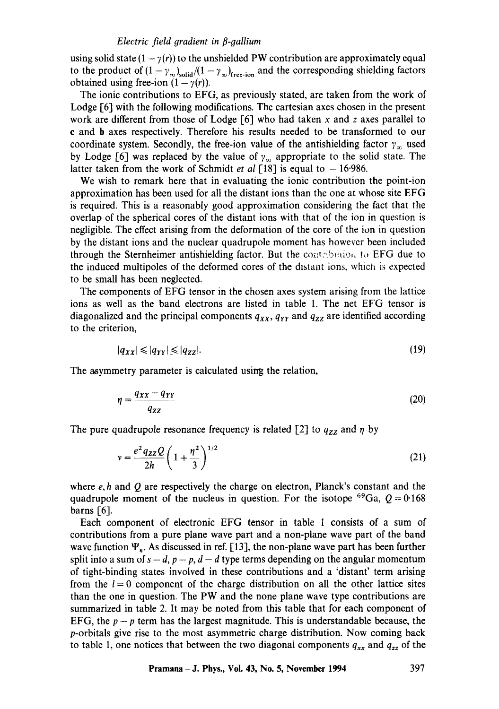#### *Electric field gradient in fl-gallium*

using solid state  $(1 - \gamma(r))$  to the unshielded PW contribution are approximately equal to the product of  $(1 - \gamma_{\infty})_{\text{solid}}/(1 - \gamma_{\infty})_{\text{free-ion}}$  and the corresponding shielding factors obtained using free-ion  $(1 - \gamma(r))$ .

The ionic contributions to EFG, as previously stated, are taken from the work of Lodge [61 with the following modifications. The cartesian axes chosen in the present work are different from those of Lodge  $[6]$  who had taken x and z axes parallel to e and b axes respectively. Therefore his results needed to be transformed to our coordinate system. Secondly, the free-ion value of the antishielding factor  $\gamma_{\infty}$  used by Lodge [6] was replaced by the value of  $\gamma_{\infty}$  appropriate to the solid state. The latter taken from the work of Schmidt *et al*  $\lceil 18 \rceil$  is equal to  $-16.986$ .

We wish to remark here that in evaluating the ionic contribution the point-ion approximation has been used for all the distant ions than the one at whose site EFG is required. This is a reasonably good approximation considering the fact that the overlap of the spherical cores of the distant ions with that of the ion in question is negligible. The effect arising from the deformation of the core of the ion in question by the distant ions and the nuclear quadrupole moment has however been included through the Sternheimer antishielding factor. But the contribution to EFG due to the induced multipoles of the deformed cores of the distant ions, which is expected to be small has been neglected.

The components of EFG tensor in the chosen axes system arising from the lattice ions as well as the band electrons are listed in table 1. The net EFG tensor is diagonalized and the principal components  $q_{xx}$ ,  $q_{yy}$  and  $q_{zz}$  are identified according to the criterion,

$$
|q_{xx}| \leqslant |q_{yy}| \leqslant |q_{zz}|.\tag{19}
$$

The asymmetry parameter is calculated using the relation,

$$
\eta = \frac{q_{XX} - q_{YY}}{q_{ZZ}}\tag{20}
$$

The pure quadrupole resonance frequency is related [2] to  $q_{ZZ}$  and  $\eta$  by

$$
v = \frac{e^2 q_{ZZ} Q}{2h} \left( 1 + \frac{\eta^2}{3} \right)^{1/2}
$$
 (21)

where  $e, h$  and  $Q$  are respectively the charge on electron, Planck's constant and the quadrupole moment of the nucleus in question. For the isotope <sup>69</sup>Ga,  $Q = 0.168$ barns [6].

Each component of electronic EFG tensor in table 1 consists of a sum of contributions from a pure plane wave part and a non-plane wave part of the band wave function  $\Psi_n$ . As discussed in ref. [13], the non-plane wave part has been further split into a sum of  $s - d$ ,  $p - p$ ,  $d - d$  type terms depending on the angular momentum of tight-binding states involved in these contributions and a 'distant' term arising from the  $l=0$  component of the charge distribution on all the other lattice sites than the one in question. The PW and the none plane wave type contributions are summarized in table 2. It may be noted from this table that for each component of EFG, the  $p-p$  term has the largest magnitude. This is understandable because, the p-orbitals give rise to the most asymmetric charge distribution. Now coming back to table 1, one notices that between the two diagonal components  $q_{xx}$  and  $q_{zz}$  of the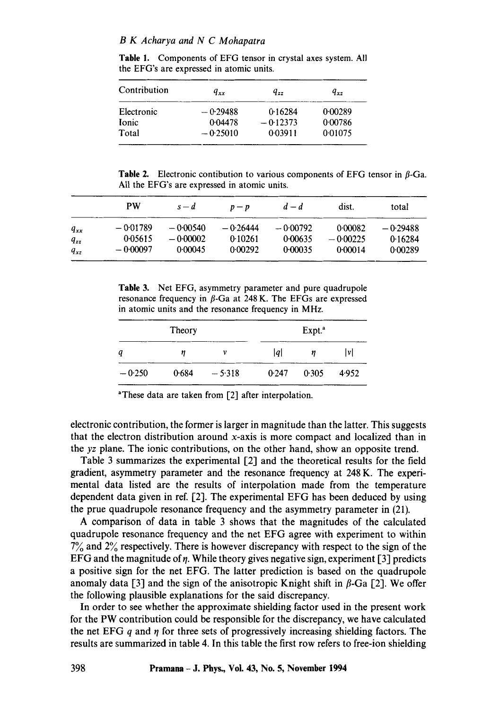**Table** 1. Components of EFG tensor in crystal axes system. All the EFG's are expressed in atomic units.

| Contribution | $q_{xx}$   | q <sub>22</sub> | $q_{\star}$ |
|--------------|------------|-----------------|-------------|
| Electronic   | $-0.29488$ | 0.16284         | 0.00289     |
| <b>Ionic</b> | 0.04478    | $-0.12373$      | 0.00786     |
| Total        | $-0.25010$ | 0.03911         | 0.01075     |

**Table 2.** Electronic contibution to various components of EFG tensor in  $\beta$ -Ga. All the EFG's are expressed in atomic units.

|          | PW         | $s-d$      | $p - p$    | $d-d$      | dist.      | total    |
|----------|------------|------------|------------|------------|------------|----------|
| $q_{xx}$ | $-0.01789$ | -000540    | $-0.26444$ | $-0.00792$ | 0.00082    | -0-29488 |
| $q_{zz}$ | 0.05615    | $-0.00002$ | 0.10261    | 0.00635    | $-0.00225$ | 0.16284  |
| $q_{xz}$ | $-0.00097$ | 0.00045    | 0.00292    | 0.00035    | 0.00014    | 0.00289  |

**Table** 3. Net EFG, asymmetry parameter and pure quadrupole resonance frequency in  $\beta$ -Ga at 248 K. The EFGs are expressed in atomic units and the resonance frequency in MHz.

| Theory   |       |          | Expt. <sup>a</sup> |       |       |
|----------|-------|----------|--------------------|-------|-------|
|          | η     | ν        | lal                |       | lνl   |
| $-0.250$ | 0.684 | $-5.318$ | 0.247              | 0.305 | 4.952 |

aThese data are taken from [2] after interpolation.

electronic contribution, the former is larger in magnitude than the latter. This suggests that the electron distribution around x-axis is more compact and localized than in the *yz* plane. The ionic contributions, on the other hand, show an opposite trend.

Table 3 summarizes the experimental  $[2]$  and the theoretical results for the field gradient, asymmetry parameter and the resonance frequency at 248 K. The experimental data listed are the results of interpolation made from the temperature dependent data given in ref. [2]. The experimental EFG has been deduced by using the prue quadrupole resonance frequency and the asymmetry parameter in (21).

A comparison of data in table 3 shows that the magnitudes of the calculated quadrupole resonance frequency and the net EFG agree with experiment to within 7% and 2% respectively. There is however discrepancy with respect to the sign of the EFG and the magnitude of  $\eta$ . While theory gives negative sign, experiment [3] predicts a positive sign for the net EFG. The latter prediction is based on the quadrupole anomaly data [3] and the sign of the anisotropic Knight shift in  $\beta$ -Ga [2]. We offer the following plausible explanations for the said discrepancy.

In order to see whether the approximate shielding factor used in the present work for the PW contribution could be responsible for the discrepancy, we have calculated the net EFG q and  $\eta$  for three sets of progressively increasing shielding factors. The results are summarized in table 4. In this table the first row refers to free-ion shielding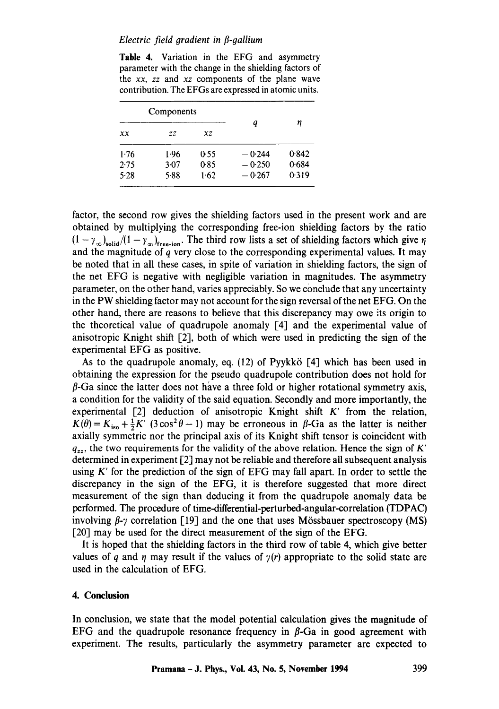#### *Electric field gradient in E-gallium*

Table 4. Variation in the EFG and asymmetry parameter with the change in the shielding factors of the *xx, zz* and *xz* components of the plane wave contribution. The EFGs are expressed in atomic units.

| Components |      |      |          |       |  |
|------------|------|------|----------|-------|--|
| xх         | ZZ   | xz   | a        | η     |  |
| 1.76       | 1.96 | 0.55 | $-0.244$ | 0.842 |  |
| 2.75       | 3.07 | 0.85 | $-0.250$ | 0.684 |  |
| 5.28       | 5.88 | 1.62 | $-0.267$ | 0.319 |  |

factor, the second row gives the shielding factors used in the present work and are obtained by multiplying the corresponding free-ion shielding factors by the ratio  $(1 - \gamma_{\infty})_{\text{solid}}/(1 - \gamma_{\infty})_{\text{free-ion}}$ . The third row lists a set of shielding factors which give  $\eta$ and the magnitude of  $q$  very close to the corresponding experimental values. It may be noted that in all these cases, in spite of variation in shielding factors, the sign of the net EFG is negative with negligible variation in magnitudes. The asymmetry parameter, on the other hand, varies appreciably. So we conclude that any uncertainty in the PW shielding factor may not account for the sign reversal of the net EFG. On the other hand, there are reasons to believe that this discrepancy may owe its origin to the theoretical value of quadrupole anomaly [4] and the experimental value of anisotropic Knight shift [2], both of which were used in predicting the sign of the experimental EFG as positive.

As to the quadrupole anomaly, eq. (12) of Pyykkö [4] which has been used in obtaining the expression for the pseudo quadrupole contribution does not hold for  $\beta$ -Ga since the latter does not have a three fold or higher rotational symmetry axis, a condition for the validity of the said equation. Secondly and more importantly, the experimental [2] deduction of anisotropic Knight shift K' from the relation,  $K(\theta) = K_{iso} + \frac{1}{2}K'$  (3 cos<sup>2</sup> $\theta$  - 1) may be erroneous in  $\beta$ -Ga as the latter is neither axially symmetric nor the principal axis of its Knight shift tensor is coincident with  $q_{zz}$ , the two requirements for the validity of the above relation. Hence the sign of K' determined in experiment  $[2]$  may not be reliable and therefore all subsequent analysis using  $K'$  for the prediction of the sign of EFG may fall apart. In order to settle the discrepancy in the sign of the EFG, it is therefore suggested that more direct measurement of the sign than deducing it from the quadrupole anomaly data be performed. The procedure of time-differential-perturbed-angular-correlation (TDPAC) involving  $\beta$ - $\gamma$  correlation [19] and the one that uses Mössbauer spectroscopy (MS) [20] may be used for the direct measurement of the sign of the EFG.

It is hoped that the shielding factors in the third row of table 4, which give better values of q and  $\eta$  may result if the values of  $\gamma(r)$  appropriate to the solid state are used in the calculation of EFG.

## **4. Conclusion**

In conclusion, we state that the model potential calculation gives the magnitude of EFG and the quadrupole resonance frequency in  $\beta$ -Ga in good agreement with experiment. The results, particularly the asymmetry parameter are expected to